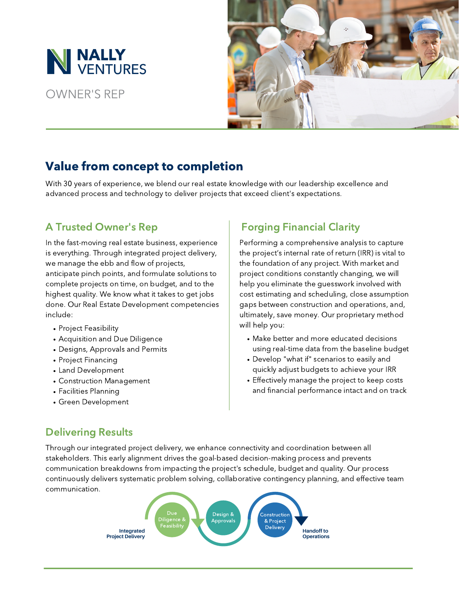

OWNER'S REP



# Value from concept to completion

With 30 years of experience, we blend our real estate knowledge with our leadership excellence and advanced process and technology to deliver projects that exceed client's expectations.

### A Trusted Owner's Rep

In the fast-moving real estate business, experience is everything. Through integrated project delivery, we manage the ebb and flow of projects, anticipate pinch points, and formulate solutions to complete projects on time, on budget, and to the highest quality. We know what it takes to get jobs done. Our Real Estate Development competencies include:

- Project Feasibility
- Acquisition and Due Diligence
- Designs, Approvals and Permits
- Project Financing
- Land Development
- Construction Management
- Facilities Planning
- Green Development

## Forging Financial Clarity

Performing a comprehensive analysis to capture the project's internal rate of return (IRR) is vital to the foundation of any project. With market and project conditions constantly changing, we will help you eliminate the guesswork involved with cost estimating and scheduling, close assumption gaps between construction and operations, and, ultimately, save money. Our proprietary method will help you:

- Make better and more educated decisions using real-time data from the baseline budget
- Develop "what if" scenarios to easily and quickly adjust budgets to achieve your IRR
- Effectively manage the project to keep costs and financial performance intact and on track

### Delivering Results

Through our integrated project delivery, we enhance connectivity and coordination between all stakeholders. This early alignment drives the goal-based decision-making process and prevents communication breakdowns from impacting the project's schedule, budget and quality. Our process continuously delivers systematic problem solving, collaborative contingency planning, and effective team communication.